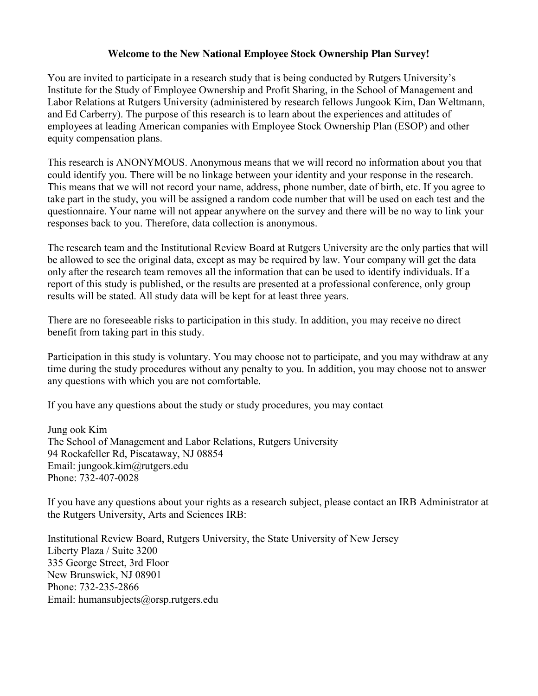#### **Welcome to the New National Employee Stock Ownership Plan Survey!**

You are invited to participate in a research study that is being conducted by Rutgers University's Institute for the Study of Employee Ownership and Profit Sharing, in the School of Management and Labor Relations at Rutgers University (administered by research fellows Jungook Kim, Dan Weltmann, and Ed Carberry). The purpose of this research is to learn about the experiences and attitudes of employees at leading American companies with Employee Stock Ownership Plan (ESOP) and other equity compensation plans.

This research is ANONYMOUS. Anonymous means that we will record no information about you that could identify you. There will be no linkage between your identity and your response in the research. This means that we will not record your name, address, phone number, date of birth, etc. If you agree to take part in the study, you will be assigned a random code number that will be used on each test and the questionnaire. Your name will not appear anywhere on the survey and there will be no way to link your responses back to you. Therefore, data collection is anonymous.

The research team and the Institutional Review Board at Rutgers University are the only parties that will be allowed to see the original data, except as may be required by law. Your company will get the data only after the research team removes all the information that can be used to identify individuals. If a report of this study is published, or the results are presented at a professional conference, only group results will be stated. All study data will be kept for at least three years.

There are no foreseeable risks to participation in this study. In addition, you may receive no direct benefit from taking part in this study.

Participation in this study is voluntary. You may choose not to participate, and you may withdraw at any time during the study procedures without any penalty to you. In addition, you may choose not to answer any questions with which you are not comfortable.

If you have any questions about the study or study procedures, you may contact

Jung ook Kim The School of Management and Labor Relations, Rutgers University 94 Rockafeller Rd, Piscataway, NJ 08854 Email: jungook.kim@rutgers.edu Phone: 732-407-0028

If you have any questions about your rights as a research subject, please contact an IRB Administrator at the Rutgers University, Arts and Sciences IRB:

Institutional Review Board, Rutgers University, the State University of New Jersey Liberty Plaza / Suite 3200 335 George Street, 3rd Floor New Brunswick, NJ 08901 Phone: 732-235-2866 Email: humansubjects@orsp.rutgers.edu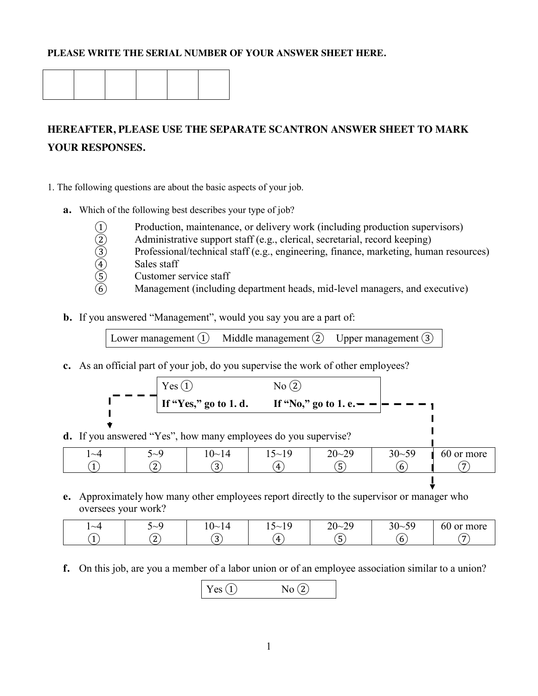### **PLEASE WRITE THE SERIAL NUMBER OF YOUR ANSWER SHEET HERE.**

# **HEREAFTER, PLEASE USE THE SEPARATE SCANTRON ANSWER SHEET TO MARK YOUR RESPONSES.**

- 1. The following questions are about the basic aspects of your job.
	- **a.** Which of the following best describes your type of job?
		-
		- Administrative support staff (e.g., clerical, secretarial, record keeping)
		- (1) Production, maintenance, or delivery work (including production supervisors)<br>
		(2) Administrative support staff (e.g., clerical, secretarial, record keeping)<br>
		(3) Professional/technical staff (e.g., engineering, finance Professional/technical staff (e.g., engineering, finance, marketing, human resources)
		- Sales staff
		- Customer service staff
			- Management (including department heads, mid-level managers, and executive)
	- **b.** If you answered "Management", would you say you are a part of:

Lower management  $\Omega$  Middle management  $\Omega$  Upper management  $\Omega$ 

**c.** As an official part of your job, do you supervise the work of other employees?

| Yes(1)            | No(2) |                                                     |  |
|-------------------|-------|-----------------------------------------------------|--|
|                   |       | If "Yes," go to 1. d. If "No," go to 1. e. $     -$ |  |
|                   |       |                                                     |  |
| $1/(37 - 32 + 1)$ |       | $\Omega$                                            |  |

 $\blacksquare$ 

**d.** If you answered "Yes", how many employees do you supervise?

| $\sim$ 4 | $\sim 0$        | $\sim$<br>⋰<br>. .        | $\overline{\phantom{0}}$<br>$\Omega$<br>৲∼<br>∙∙<br>. | .70<br>$20 - 2$<br>ر ڪ | .59<br>$30-$<br><u>.</u> | $\sim$ $\sim$<br>more<br><sub>or</sub><br>ы |
|----------|-----------------|---------------------------|-------------------------------------------------------|------------------------|--------------------------|---------------------------------------------|
|          | $\sqrt{2}$<br>▵ | $\mathbf{\tilde{a}}$<br>ັ | 4                                                     | —<br>ັ                 | b                        |                                             |

**e.** Approximately how many other employees report directly to the supervisor or manager who oversees your work?

| $\sim$ 4 | ৲∼∽                     | $\Omega$<br>.∪∼<br>$\overline{\phantom{a}}$ | $\epsilon$<br>∼<br>◝∼<br>∸<br>. . | $\Omega$<br>$20 -$<br>$\overline{\phantom{a}}$ | 50<br>റ റ<br>ാ∪∼ി | <i>c</i> n<br>more<br>or<br>0Û |
|----------|-------------------------|---------------------------------------------|-----------------------------------|------------------------------------------------|-------------------|--------------------------------|
|          | $\mathbf{\hat{z}}$<br>∼ | $\sim$<br>ັ                                 | $\mathbf{u}$                      | . ت                                            | υ                 |                                |

**f.** On this job, are you a member of a labor union or of an employee association similar to a union?

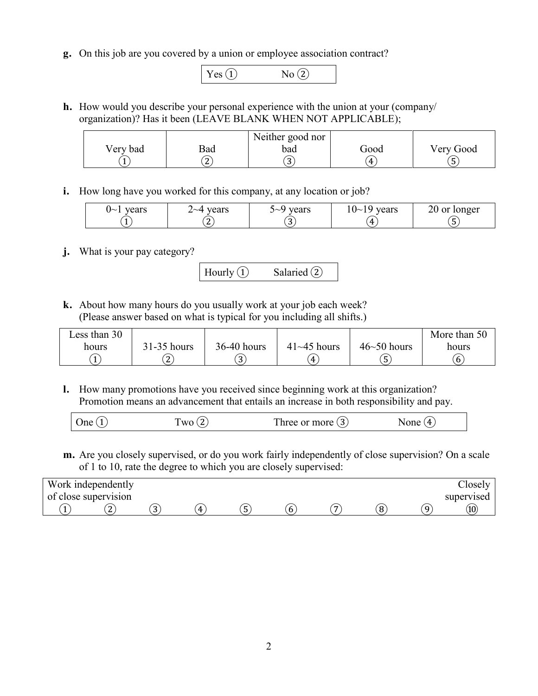**g.** On this job are you covered by a union or employee association contract?



**h.** How would you describe your personal experience with the union at your (company/ organization)? Has it been (LEAVE BLANK WHEN NOT APPLICABLE);

|          |                 | Neither good nor |      |           |
|----------|-----------------|------------------|------|-----------|
| Very bad | Bad             | bad              | Good | Very Good |
|          | $\sqrt{2}$<br>∼ | ັ                | 4    | ັ         |

**i.** How long have you worked for this company, at any location or job?

| vears<br>$\mathsf{L}$ | vears<br>$\sim$ | vears<br>`~<br>ັ | vears<br>$\sim$<br>◡ | ionger |
|-----------------------|-----------------|------------------|----------------------|--------|
|                       | -               | ັ                | 4                    |        |

**j.** What is your pay category?

Hourly  $\textcircled{1}$  Salaried  $\textcircled{2}$ 

**k.** About how many hours do you usually work at your job each week? (Please answer based on what is typical for you including all shifts.)

| Less than 30 |                 |               |                    |                    | More than 50 |
|--------------|-----------------|---------------|--------------------|--------------------|--------------|
| hours        | $31-35$ hours   | $36-40$ hours | $41 \sim 45$ hours | $46 \sim 50$ hours | hours        |
|              | $\sqrt{2}$<br>∼ | ັ             | 4                  | ັ                  | b            |

**l.** How many promotions have you received since beginning work at this organization? Promotion means an advancement that entails an increase in both responsibility and pay.

| One (<br>$W_0$ | Three or more $(3)$ | None $(4)$ |  |
|----------------|---------------------|------------|--|
|----------------|---------------------|------------|--|

**m.** Are you closely supervised, or do you work fairly independently of close supervision? On a scale of 1 to 10, rate the degree to which you are closely supervised:

| Work independently   |        |   |   |   |               | $\cup$ 10selv |
|----------------------|--------|---|---|---|---------------|---------------|
| of close supervision |        |   |   |   |               | supervised    |
| ∼                    | n<br>ັ | ᅭ | ັ | b | $\Omega$<br>o |               |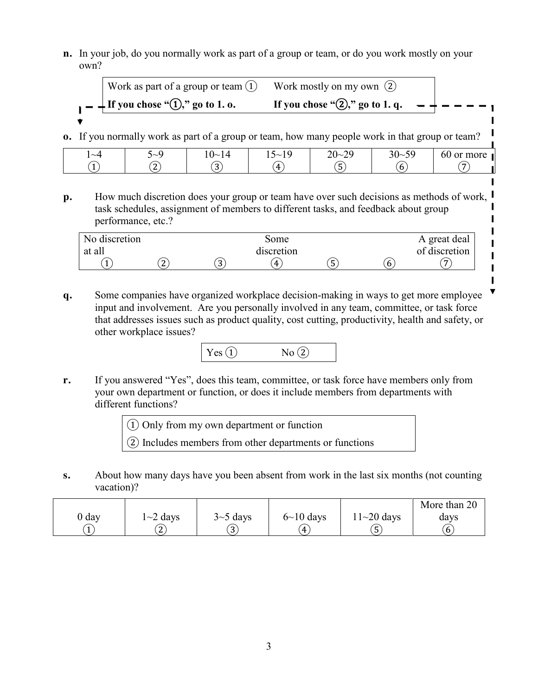**n.** In your job, do you normally work as part of a group or team, or do you work mostly on your own?

| Work as part of a group or team $(1)$                      | Work mostly on my own $(2)$             |  |
|------------------------------------------------------------|-----------------------------------------|--|
| $\mathbf{I} = \frac{1}{2}$ If you chose "(1)," go to 1. o. | If you chose "(2)," go to 1. q. $- + -$ |  |
|                                                            |                                         |  |

**o.** If you normally work as part of a group or team, how many people work in that group or team?

| $\sim\!\!\varDelta$ | ◝∼     | ''~<br>$\mathbf{r}$ | $\overline{\phantom{0}}$<br>$\sim$<br>. | $\Delta$<br>$20 -$<br>ີ<br>ر سه | $\sim$ $\sim$<br>ን ሰ<br>ົ້<br>⊃∪∼<br>ັ | - n<br>more<br>or<br>п<br>0U |
|---------------------|--------|---------------------|-----------------------------------------|---------------------------------|----------------------------------------|------------------------------|
|                     | -<br>∼ | ◠<br>ັ              | 4                                       | ັ                               | O                                      |                              |

 $\mathbf{I}$ 

Π  $\mathbf{I}$ I  $\mathbf{I}$  $\mathbf{I}$ I  $\mathbf{I}$ 

**p.** How much discretion does your group or team have over such decisions as methods of work, task schedules, assignment of members to different tasks, and feedback about group performance, etc.?

| No discretion |        |         | some       |   | A great deal   |
|---------------|--------|---------|------------|---|----------------|
| at all        |        |         | discretion |   | of discretion  |
|               | ີ<br>∠ | ົດ<br>C | 4          | ວ | $\overline{ }$ |

**q.** Some companies have organized workplace decision-making in ways to get more employee input and involvement. Are you personally involved in any team, committee, or task force that addresses issues such as product quality, cost cutting, productivity, health and safety, or other workplace issues?



**r.** If you answered "Yes", does this team, committee, or task force have members only from your own department or function, or does it include members from departments with different functions?



**s.** About how many days have you been absent from work in the last six months (not counting vacation)?

|       |                 |                 |                  |                | More than 20 |
|-------|-----------------|-----------------|------------------|----------------|--------------|
| 0 day | $1 \sim 2$ days | $3 \sim 5$ days | $6 \sim 10$ days | $11 - 20$ days | days         |
|       | $\sqrt{2}$<br>▵ | ັ               | 4                | ັ              | b            |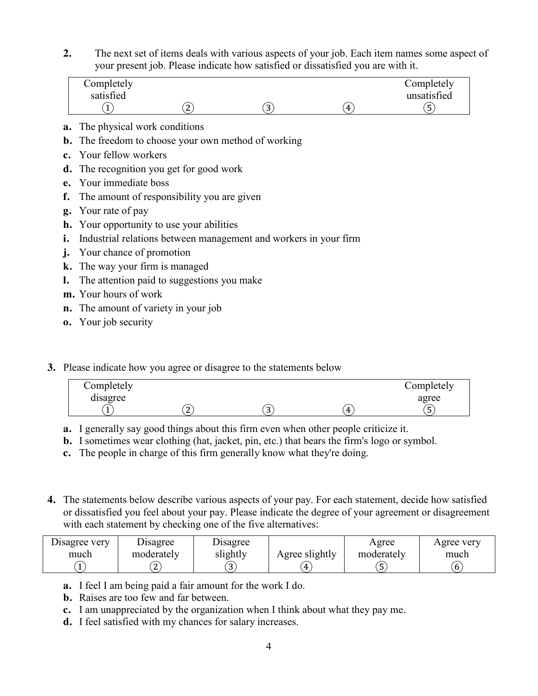**2.** The next set of items deals with various aspects of your job. Each item names some aspect of your present job. Please indicate how satisfied or dissatisfied you are with it.

|    | Completely<br>satisfied                | $\left( 2\right)$                                                | $\left(3\right)$ | 4 | Completely<br>unsatisfied<br>(5) |
|----|----------------------------------------|------------------------------------------------------------------|------------------|---|----------------------------------|
|    | <b>a.</b> The physical work conditions |                                                                  |                  |   |                                  |
| b. |                                        | The freedom to choose your own method of working                 |                  |   |                                  |
|    | c. Your fellow workers                 |                                                                  |                  |   |                                  |
|    |                                        | <b>d.</b> The recognition you get for good work                  |                  |   |                                  |
|    | <b>e.</b> Your immediate boss          |                                                                  |                  |   |                                  |
| f. |                                        | The amount of responsibility you are given                       |                  |   |                                  |
|    | <b>g.</b> Your rate of pay             |                                                                  |                  |   |                                  |
|    |                                        | <b>h.</b> Your opportunity to use your abilities                 |                  |   |                                  |
| i. |                                        | Industrial relations between management and workers in your firm |                  |   |                                  |
| j. | Your chance of promotion               |                                                                  |                  |   |                                  |
|    | k. The way your firm is managed        |                                                                  |                  |   |                                  |
| l. |                                        | The attention paid to suggestions you make                       |                  |   |                                  |
|    | <b>m.</b> Your hours of work           |                                                                  |                  |   |                                  |
|    |                                        | <b>n.</b> The amount of variety in your job                      |                  |   |                                  |
|    | <b>o.</b> Your job security            |                                                                  |                  |   |                                  |

**3.** Please indicate how you agree or disagree to the statements below

| Completely          |        |   |   | Completely |
|---------------------|--------|---|---|------------|
| $\cdot$<br>disagree |        |   |   | agree      |
|                     | ∽<br>∼ | ັ | 4 | -<br>◡     |

- **a.** I generally say good things about this firm even when other people criticize it.
- **b.** I sometimes wear clothing (hat, jacket, pin, etc.) that bears the firm's logo or symbol.
- **c.** The people in charge of this firm generally know what they're doing.
- **4.** The statements below describe various aspects of your pay. For each statement, decide how satisfied or dissatisfied you feel about your pay. Please indicate the degree of your agreement or disagreement with each statement by checking one of the five alternatives:

| Disagree very | <b>Disagree</b> | Disagree |                | Agree      | Agree verv |
|---------------|-----------------|----------|----------------|------------|------------|
| much          | moderately      | slightly | Agree slightly | moderately | much       |
|               | $\sqrt{2}$<br>▵ | ັ        |                |            | b          |

- **a.** I feel I am being paid a fair amount for the work I do.
- **b.** Raises are too few and far between.
- **c.** I am unappreciated by the organization when I think about what they pay me.
- **d.** I feel satisfied with my chances for salary increases.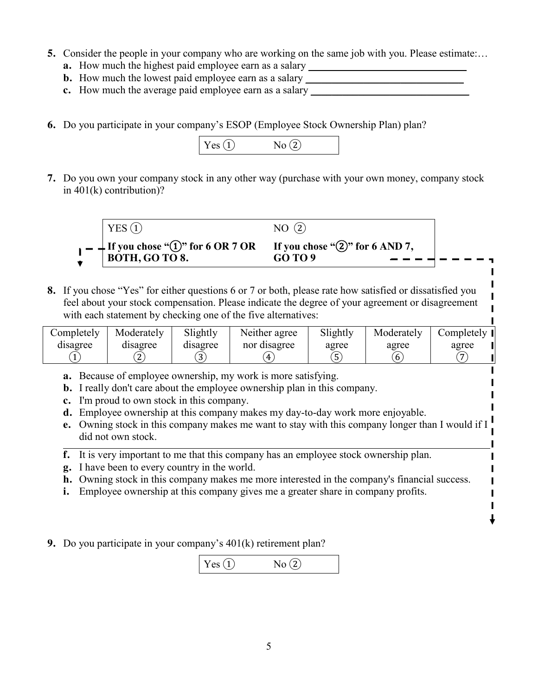- **5.** Consider the people in your company who are working on the same job with you. Please estimate:...
	- **a.** How much the highest paid employee earn as a salary \_\_\_\_\_\_\_\_\_\_\_\_\_\_\_\_\_\_\_\_\_\_\_\_\_\_\_\_\_\_
	- **b.** How much the lowest paid employee earn as a salary
	- **c.** How much the average paid employee earn as a salary
- **6.** Do you participate in your company's ESOP (Employee Stock Ownership Plan) plan?



**7.** Do you own your company stock in any other way (purchase with your own money, company stock in 401(k) contribution)?



**8.** If you chose "Yes" for either questions 6 or 7 or both, please rate how satisfied or dissatisfied you feel about your stock compensation. Please indicate the degree of your agreement or disagreement with each statement by checking one of the five alternatives:

I Ĺ

I ↓

| Completely | Moderately | Slightly | Neither agree | Slightly | Moderately | Completely II  |
|------------|------------|----------|---------------|----------|------------|----------------|
| disagree   | disagree   | disagree | nor disagree  | agree    | agree      | agree          |
|            |            | ັ        |               | -<br>ັ   | b          | $\overline{ }$ |

- **a.** Because of employee ownership, my work is more satisfying.
- **b.** I really don't care about the employee ownership plan in this company.
- **c.** I'm proud to own stock in this company.
- **d.** Employee ownership at this company makes my day-to-day work more enjoyable.
- **e.** Owning stock in this company makes me want to stay with this company longer than I would if I did not own stock.
- **f.** It is very important to me that this company has an employee stock ownership plan.
- **g.** I have been to every country in the world.
- **h.** Owning stock in this company makes me more interested in the company's financial success.
- **i.** Employee ownership at this company gives me a greater share in company profits.
- **9.** Do you participate in your company's 401(k) retirement plan?

 $Yes (1)$   $No (2)$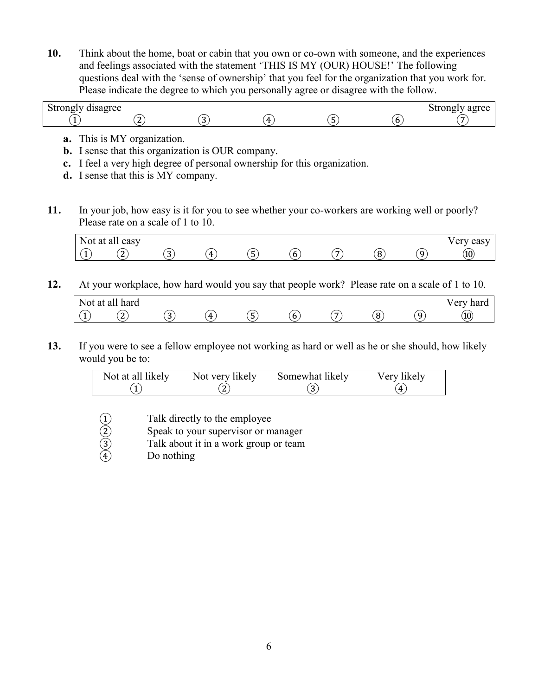**10.** Think about the home, boat or cabin that you own or co-own with someone, and the experiences and feelings associated with the statement 'THIS IS MY (OUR) HOUSE!' The following questions deal with the 'sense of ownership' that you feel for the organization that you work for. Please indicate the degree to which you personally agree or disagree with the follow.

| .<br>$\sim$<br>/ disagree<br>strongly<br><u>.</u><br>~ |            |     |           |            |          | strongty agree<br>dи<br>. . |
|--------------------------------------------------------|------------|-----|-----------|------------|----------|-----------------------------|
|                                                        | . .<br>. . | . . | $\Lambda$ | . .<br>. . | b<br>. . |                             |

- **a.** This is MY organization.
- **b.** I sense that this organization is OUR company.
- **c.** I feel a very high degree of personal ownership for this organization.
- **d.** I sense that this is MY company.
- **11.** In your job, how easy is it for you to see whether your co-workers are working well or poorly? Please rate on a scale of 1 to 10.



**12.** At your workplace, how hard would you say that people work? Please rate on a scale of 1 to 10.

| $\overline{\phantom{a}}$<br>$\sim$ $\sim$<br>NOt<br>"dl<br><b>.</b> | hard<br>`alı    |   |     |     |          |  | - -<br>$\Delta$ <b>PT</b><br>hord<br>ualu<br>◡ェ |
|---------------------------------------------------------------------|-----------------|---|-----|-----|----------|--|-------------------------------------------------|
|                                                                     | $\sqrt{2}$<br>∼ | ີ | 71. | . . | ∽<br>. w |  | (10)                                            |

**13.** If you were to see a fellow employee not working as hard or well as he or she should, how likely would you be to:

| Not at all likely | Not very likely | Somewhat likely | Very likely |
|-------------------|-----------------|-----------------|-------------|
|                   |                 |                 | д           |

- (1) Talk directly to the employee<br>
(2) Speak to your supervisor or m<br>
(3) Talk about it in a work group<br>
(4) Do nothing
- Speak to your supervisor or manager
- Talk about it in a work group or team
- Do nothing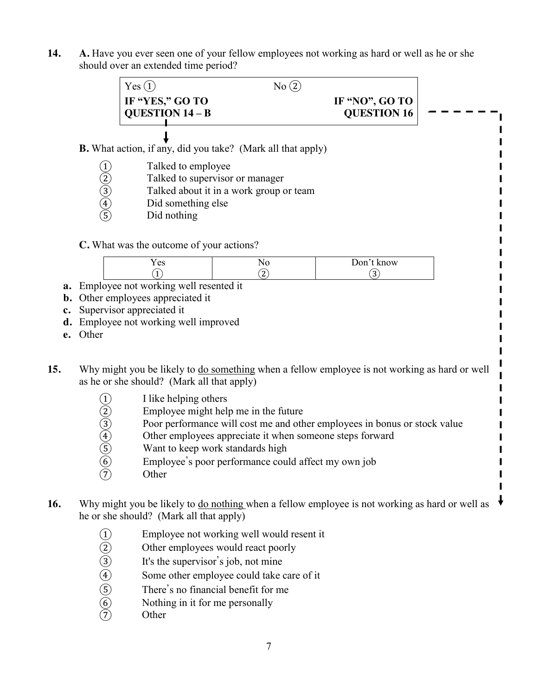**14. A.** Have you ever seen one of your fellow employees not working as hard or well as he or she should over an extended time period?

|                                  | Yes(1)                                                                                                                                      | $No$ $Q$                                                                                                                                                |                                                                           |
|----------------------------------|---------------------------------------------------------------------------------------------------------------------------------------------|---------------------------------------------------------------------------------------------------------------------------------------------------------|---------------------------------------------------------------------------|
|                                  | IF "YES," GO TO<br>QUESTION 14 - B                                                                                                          |                                                                                                                                                         | IF "NO", GO TO<br><b>QUESTION 16</b>                                      |
|                                  | <b>B.</b> What action, if any, did you take? (Mark all that apply)                                                                          |                                                                                                                                                         |                                                                           |
| $(2)$<br>$(3)$<br>$(4)$<br>$(5)$ | Talked to employee<br>Did something else<br>Did nothing                                                                                     | Talked to supervisor or manager<br>Talked about it in a work group or team                                                                              |                                                                           |
|                                  | C. What was the outcome of your actions?<br>Yes                                                                                             | N <sub>0</sub>                                                                                                                                          | Don't know                                                                |
|                                  | (1)                                                                                                                                         | (2)                                                                                                                                                     | $\circled{3}$                                                             |
| Other                            | Employee not working well resented it<br>Other employees appreciated it<br>Supervisor appreciated it<br>Employee not working well improved  |                                                                                                                                                         |                                                                           |
|                                  | Why might you be likely to do something when a fellow employee is not working as hard or well<br>as he or she should? (Mark all that apply) |                                                                                                                                                         |                                                                           |
| $(1)$ (2) (3) (4) (5) (6) (7)    | I like helping others<br>Want to keep work standards high<br>Other                                                                          | Employee might help me in the future<br>Other employees appreciate it when someone steps forward<br>Employee's poor performance could affect my own job | Poor performance will cost me and other employees in bonus or stock value |

⑦ Other

16. Why might you be likely to <u>do nothing</u> when a fellow employee is not working as hard or well as  $\downarrow$ he or she should? (Mark all that apply)

 $\blacksquare$ 

- 
- Other employees would react poorly
- It's the supervisor's job, not mine
- (1) Employee not working well would resent it<br>
(2) Other employees would react poorly<br>
(3) It's the supervisor's job, not mine<br>
(4) Some other employee could take care of it<br>
(5) There's no financial benefit for me<br>
(6) N Some other employee could take care of it
- There's no financial benefit for me
- Nothing in it for me personally
- **Other**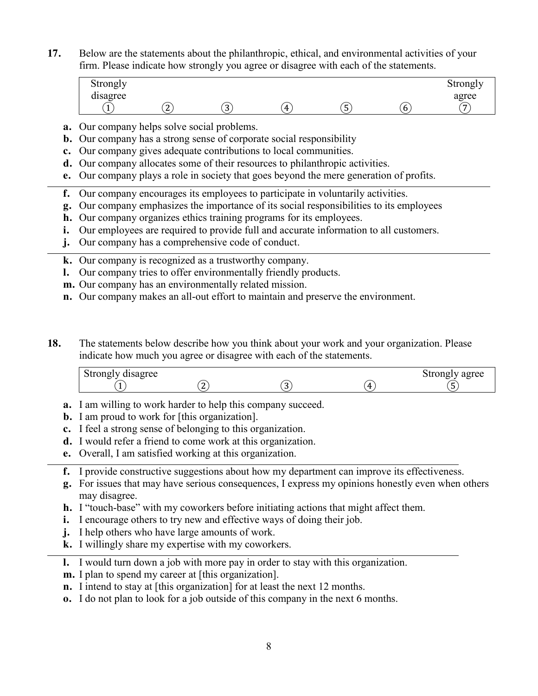**17.** Below are the statements about the philanthropic, ethical, and environmental activities of your firm. Please indicate how strongly you agree or disagree with each of the statements.

| Strongly            |   |             |    |        |   | Strongly |
|---------------------|---|-------------|----|--------|---|----------|
| $\cdot$<br>disagree |   |             |    |        |   | agree    |
|                     | ∼ | $\sim$<br>ັ | Д. | -<br>ັ | O | -        |

- **a.** Our company helps solve social problems.
- **b.** Our company has a strong sense of corporate social responsibility
- **c.** Our company gives adequate contributions to local communities.
- **d.** Our company allocates some of their resources to philanthropic activities.
- **e.** Our company plays a role in society that goes beyond the mere generation of profits.
- **f.** Our company encourages its employees to participate in voluntarily activities.
- **g.** Our company emphasizes the importance of its social responsibilities to its employees
- **h.** Our company organizes ethics training programs for its employees.
- **i.** Our employees are required to provide full and accurate information to all customers.
- **j.** Our company has a comprehensive code of conduct.
- **k.** Our company is recognized as a trustworthy company.
- **l.** Our company tries to offer environmentally friendly products.
- **m.** Our company has an environmentally related mission.
- **n.** Our company makes an all-out effort to maintain and preserve the environment.
- **18.** The statements below describe how you think about your work and your organization. Please indicate how much you agree or disagree with each of the statements.

| $\cdots$<br>lisagree<br>$+$ 0 0 10 $\sim$ 1<br>$\cdot$<br><b>DU</b><br>.<br>v.u<br>~ |   |    | agree |
|--------------------------------------------------------------------------------------|---|----|-------|
|                                                                                      | - | Δ. | ັ     |

- **a.** I am willing to work harder to help this company succeed.
- **b.** I am proud to work for [this organization].
- **c.** I feel a strong sense of belonging to this organization.
- **d.** I would refer a friend to come work at this organization.
- **e.** Overall, I am satisfied working at this organization.
- **f.** I provide constructive suggestions about how my department can improve its effectiveness.
- **g.** For issues that may have serious consequences, I express my opinions honestly even when others may disagree.
- **h.** I "touch-base" with my coworkers before initiating actions that might affect them.
- **i.** I encourage others to try new and effective ways of doing their job.
- **j.** I help others who have large amounts of work.
- **k.** I willingly share my expertise with my coworkers.
- **l.** I would turn down a job with more pay in order to stay with this organization.
- **m.** I plan to spend my career at [this organization].
- **n.** I intend to stay at [this organization] for at least the next 12 months.
- **o.** I do not plan to look for a job outside of this company in the next 6 months.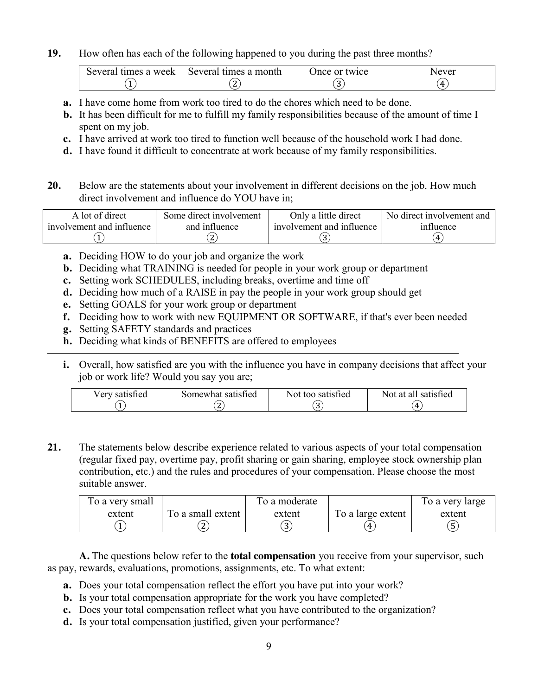**19.** How often has each of the following happened to you during the past three months?

| Several times a week | Several times a month | Once or twice | Nevei |
|----------------------|-----------------------|---------------|-------|
|                      |                       |               | 4     |

- **a.** I have come home from work too tired to do the chores which need to be done.
- **b.** It has been difficult for me to fulfill my family responsibilities because of the amount of time I spent on my job.
- **c.** I have arrived at work too tired to function well because of the household work I had done.
- **d.** I have found it difficult to concentrate at work because of my family responsibilities.
- **20.** Below are the statements about your involvement in different decisions on the job. How much direct involvement and influence do YOU have in;

| A lot of direct           | Some direct involvement | Only a little direct      | No direct involvement and |
|---------------------------|-------------------------|---------------------------|---------------------------|
| involvement and influence | and influence           | involvement and influence | influence                 |
|                           |                         |                           | 4                         |

- **a.** Deciding HOW to do your job and organize the work
- **b.** Deciding what TRAINING is needed for people in your work group or department
- **c.** Setting work SCHEDULES, including breaks, overtime and time off
- **d.** Deciding how much of a RAISE in pay the people in your work group should get
- **e.** Setting GOALS for your work group or department
- **f.** Deciding how to work with new EQUIPMENT OR SOFTWARE, if that's ever been needed
- **g.** Setting SAFETY standards and practices
- **h.** Deciding what kinds of BENEFITS are offered to employees
- **i.** Overall, how satisfied are you with the influence you have in company decisions that affect your job or work life? Would you say you are;

| Verv satisfied | Somewhat satisfied | Not too satisfied | Not at all satisfied |
|----------------|--------------------|-------------------|----------------------|
|                |                    | . .               | Д.                   |

**21.** The statements below describe experience related to various aspects of your total compensation (regular fixed pay, overtime pay, profit sharing or gain sharing, employee stock ownership plan contribution, etc.) and the rules and procedures of your compensation. Please choose the most suitable answer.

| To a very small |                   | To a moderate |                   | To a very large |
|-----------------|-------------------|---------------|-------------------|-----------------|
| extent          | To a small extent | extent        | To a large extent | extent          |
|                 | ∽<br>∼            |               | Δ.                |                 |

**A.** The questions below refer to the **total compensation** you receive from your supervisor, such as pay, rewards, evaluations, promotions, assignments, etc. To what extent:

- **a.** Does your total compensation reflect the effort you have put into your work?
- **b.** Is your total compensation appropriate for the work you have completed?
- **c.** Does your total compensation reflect what you have contributed to the organization?
- **d.** Is your total compensation justified, given your performance?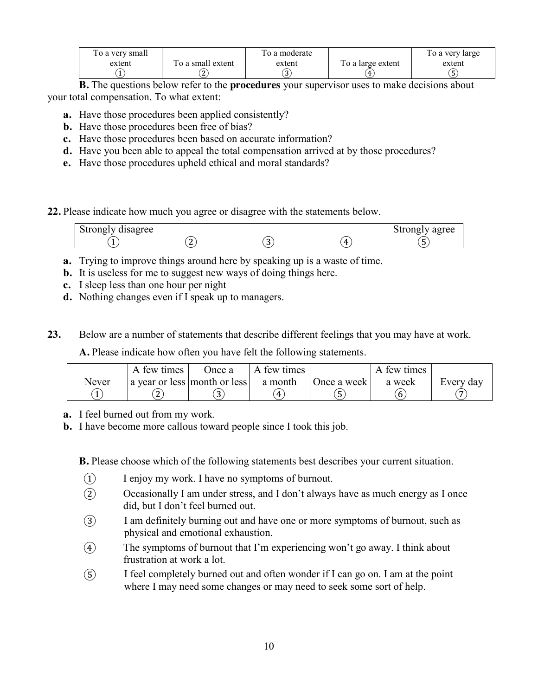| To a very small |                   | To a moderate |                   | To a very large |
|-----------------|-------------------|---------------|-------------------|-----------------|
| extent          | To a small extent | extent        | To a large extent | extent          |
|                 |                   |               | 4                 | د               |
|                 |                   |               |                   |                 |

**B.** The questions below refer to the **procedures** your supervisor uses to make decisions about your total compensation. To what extent:

- **a.** Have those procedures been applied consistently?
- **b.** Have those procedures been free of bias?
- **c.** Have those procedures been based on accurate information?
- **d.** Have you been able to appeal the total compensation arrived at by those procedures?
- **e.** Have those procedures upheld ethical and moral standards?

**22.** Please indicate how much you agree or disagree with the statements below.

| Strongly disagree |   |    | Strongly agree |
|-------------------|---|----|----------------|
|                   | - | Д. |                |

- **a.** Trying to improve things around here by speaking up is a waste of time.
- **b.** It is useless for me to suggest new ways of doing things here.
- **c.** I sleep less than one hour per night
- **d.** Nothing changes even if I speak up to managers.

**23.** Below are a number of statements that describe different feelings that you may have at work.

**A.** Please indicate how often you have felt the following statements.

|       | A few times | Once a                               | A few times |             | A few times |                |
|-------|-------------|--------------------------------------|-------------|-------------|-------------|----------------|
| Never |             | a year or less month or less a month |             | Once a week | a week      | Every day      |
|       |             | $\sim$<br>ັ                          | Δ.          |             | 6           | $\overline{ }$ |

- **a.** I feel burned out from my work.
- **b.** I have become more callous toward people since I took this job.

**B.** Please choose which of the following statements best describes your current situation.

- ① I enjoy my work. I have no symptoms of burnout.
- ② Occasionally I am under stress, and I don't always have as much energy as I once did, but I don't feel burned out.
- ③ I am definitely burning out and have one or more symptoms of burnout, such as physical and emotional exhaustion.
- ④ The symptoms of burnout that I'm experiencing won't go away. I think about frustration at work a lot.
- ⑤ I feel completely burned out and often wonder if I can go on. I am at the point where I may need some changes or may need to seek some sort of help.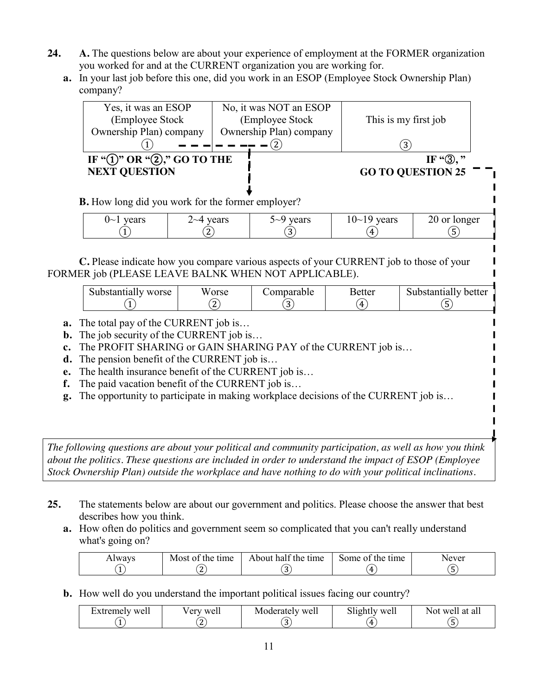- **24. A.** The questions below are about your experience of employment at the FORMER organization you worked for and at the CURRENT organization you are working for.
	- **a.** In your last job before this one, did you work in an ESOP (Employee Stock Ownership Plan) company?

| Yes, it was an ESOP                                      |                  |                  | No, it was NOT an ESOP  |                          |                      |
|----------------------------------------------------------|------------------|------------------|-------------------------|--------------------------|----------------------|
| (Employee Stock)                                         |                  | (Employee Stock) |                         | This is my first job     |                      |
| Ownership Plan) company                                  |                  |                  | Ownership Plan) company |                          |                      |
|                                                          |                  |                  |                         | (3)                      |                      |
| IF " $(1)$ " OR " $(2)$ ," GO TO THE                     |                  |                  |                         |                          | IF " $\mathbb{B}$ ," |
| <b>NEXT QUESTION</b>                                     |                  |                  |                         | <b>GO TO QUESTION 25</b> |                      |
|                                                          |                  |                  |                         |                          |                      |
| <b>B.</b> How long did you work for the former employer? |                  |                  |                         |                          |                      |
| $0 \sim 1$ years                                         | $2 \sim 4$ years |                  | $5-9$ years             | $10~19$ years            | 20 or longer         |
|                                                          |                  |                  | 3.                      | 4                        |                      |
|                                                          |                  |                  |                         |                          |                      |

**C.** Please indicate how you compare various aspects of your CURRENT job to those of your FORMER job (PLEASE LEAVE BALNK WHEN NOT APPLICABLE).

|  | worse<br>substantially | w<br>orse<br>∼ | omparable | <b>Better</b><br>Д. | better<br>substantially<br>$\overline{\phantom{0}}$<br>ت |
|--|------------------------|----------------|-----------|---------------------|----------------------------------------------------------|
|--|------------------------|----------------|-----------|---------------------|----------------------------------------------------------|

- **a.** The total pay of the CURRENT job is…
- **b.** The job security of the CURRENT job is…
- **c.** The PROFIT SHARING or GAIN SHARING PAY of the CURRENT job is…
- **d.** The pension benefit of the CURRENT job is…
- **e.** The health insurance benefit of the CURRENT job is…
- **f.** The paid vacation benefit of the CURRENT job is…
- **g.** The opportunity to participate in making workplace decisions of the CURRENT job is…

*The following questions are about your political and community participation, as well as how you think about the politics. These questions are included in order to understand the impact of ESOP (Employee Stock Ownership Plan) outside the workplace and have nothing to do with your political inclinations.*

- **25.** The statements below are about our government and politics. Please choose the answer that best describes how you think.
	- **a.** How often do politics and government seem so complicated that you can't really understand what's going on?

| <b>Iways</b> | Most of<br>time<br>the | $\sim$<br>half the time<br>About | Some of<br>the<br>time | Never |
|--------------|------------------------|----------------------------------|------------------------|-------|
|              |                        |                                  | $\mathcal{L}$          | ີ     |

**b.** How well do you understand the important political issues facing our country?

| Extremely well | Very well | Moderately well | $\sim$ 1.<br>Slightly well | at all<br>Not well |
|----------------|-----------|-----------------|----------------------------|--------------------|
|                |           |                 | Д.                         |                    |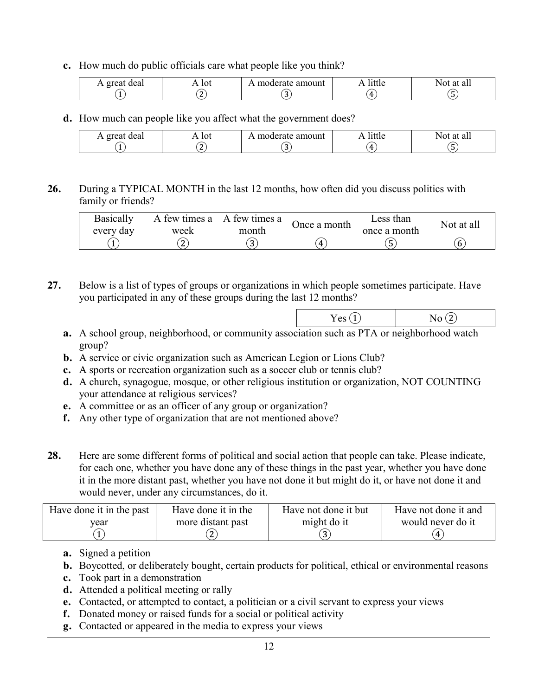**c.** How much do public officials care what people like you think?

| deal<br>$\alpha$ roc | 10t | amount<br>$\sim$ $\sim$ $\sim$<br>ане<br>$10 - 10$ |    | al.<br>$-1$                     |
|----------------------|-----|----------------------------------------------------|----|---------------------------------|
|                      |     |                                                    | Д. | $\overline{\phantom{a}}$<br>. . |

**d.** How much can people like you affect what the government does?

| deal<br>orea<br>$\overline{ }$ | $\cdot \cdot$ lot | `amount<br>$\cdot$ moder <sup>o+</sup> | nttie              | `all<br>$-1$ |
|--------------------------------|-------------------|----------------------------------------|--------------------|--------------|
|                                | ∼                 | ີ                                      | $\mathcal{L}$<br>− |              |

**26.** During a TYPICAL MONTH in the last 12 months, how often did you discuss politics with family or friends?

| <b>Basically</b> |                        | A few times a A few times a | Once a month | Less than    | Not at all |
|------------------|------------------------|-----------------------------|--------------|--------------|------------|
| every day        | week<br>$\overline{ }$ | month                       | Д            | once a month | o          |

**27.** Below is a list of types of groups or organizations in which people sometimes participate. Have you participated in any of these groups during the last 12 months?

| -      |                                 |
|--------|---------------------------------|
| $\sim$ | .<br>$\sim$<br>$\sim$<br>$\sim$ |

- **a.** A school group, neighborhood, or community association such as PTA or neighborhood watch group?
- **b.** A service or civic organization such as American Legion or Lions Club?
- **c.** A sports or recreation organization such as a soccer club or tennis club?
- **d.** A church, synagogue, mosque, or other religious institution or organization, NOT COUNTING your attendance at religious services?
- **e.** A committee or as an officer of any group or organization?
- **f.** Any other type of organization that are not mentioned above?
- **28.** Here are some different forms of political and social action that people can take. Please indicate, for each one, whether you have done any of these things in the past year, whether you have done it in the more distant past, whether you have not done it but might do it, or have not done it and would never, under any circumstances, do it.

| Have done it in the past | Have done it in the | Have not done it but | Have not done it and |
|--------------------------|---------------------|----------------------|----------------------|
| vear                     | more distant past   | might do it          | would never do it    |
|                          |                     |                      |                      |

- **a.** Signed a petition
- **b.** Boycotted, or deliberately bought, certain products for political, ethical or environmental reasons
- **c.** Took part in a demonstration
- **d.** Attended a political meeting or rally
- **e.** Contacted, or attempted to contact, a politician or a civil servant to express your views
- **f.** Donated money or raised funds for a social or political activity
- **g.** Contacted or appeared in the media to express your views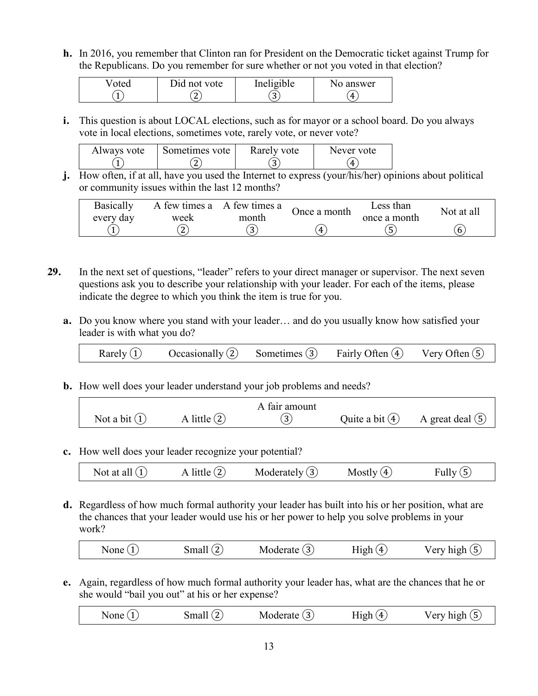**h.** In 2016, you remember that Clinton ran for President on the Democratic ticket against Trump for the Republicans. Do you remember for sure whether or not you voted in that election?

| oted | Did not vote             | Ineligible  | No answer |
|------|--------------------------|-------------|-----------|
|      | $\overline{\phantom{0}}$ | $\sim$<br>ັ | Д         |

**i.** This question is about LOCAL elections, such as for mayor or a school board. Do you always vote in local elections, sometimes vote, rarely vote, or never vote?

| Always vote | Sometimes vote | Rarely vote | Never vote |
|-------------|----------------|-------------|------------|
|             |                | ∽<br>ш      | 4          |

**j.** How often, if at all, have you used the Internet to express (your/his/her) opinions about political or community issues within the last 12 months?

| <b>Basically</b> |      | A few times a A few times a | Once a month | Less than    | Not at all |
|------------------|------|-----------------------------|--------------|--------------|------------|
| every day        | week | month                       |              | once a month |            |
|                  |      | $\sim$<br>ت                 |              | ວ            | o          |

- **29.** In the next set of questions, "leader" refers to your direct manager or supervisor. The next seven questions ask you to describe your relationship with your leader. For each of the items, please indicate the degree to which you think the item is true for you.
	- **a.** Do you know where you stand with your leader… and do you usually know how satisfied your leader is with what you do?

| Rarely $(1)$ | Occasionally $(2)$ | Sometimes $(3)$ | Fairly Often 4 | Very Often $(5)$ |
|--------------|--------------------|-----------------|----------------|------------------|
|              |                    |                 |                |                  |

**b.** How well does your leader understand your job problems and needs?

|                 |                | A fair amount |                   |                    |
|-----------------|----------------|---------------|-------------------|--------------------|
| Not a bit $(1)$ | A little $(2)$ | 3,            | Quite a bit $(4)$ | A great deal $(5)$ |

**c.** How well does your leader recognize your potential?

|  | Not at all $(1)$ | little ( | Moderately $(3)$ | Mostly (4) | Fully |
|--|------------------|----------|------------------|------------|-------|
|--|------------------|----------|------------------|------------|-------|

**d.** Regardless of how much formal authority your leader has built into his or her position, what are the chances that your leader would use his or her power to help you solve problems in your work?

| None $(1)$ | Small $(2)$ | Moderate $(3)$ | High(4) | Very high $(5)$ |
|------------|-------------|----------------|---------|-----------------|
|------------|-------------|----------------|---------|-----------------|

**e.** Again, regardless of how much formal authority your leader has, what are the chances that he or she would "bail you out" at his or her expense?

| None | $\lambda$ | -ivioger<br>аге<br>5. | Δ.<br>110h | <u>la 10-la</u><br>◡⊥ |
|------|-----------|-----------------------|------------|-----------------------|
|      |           |                       |            |                       |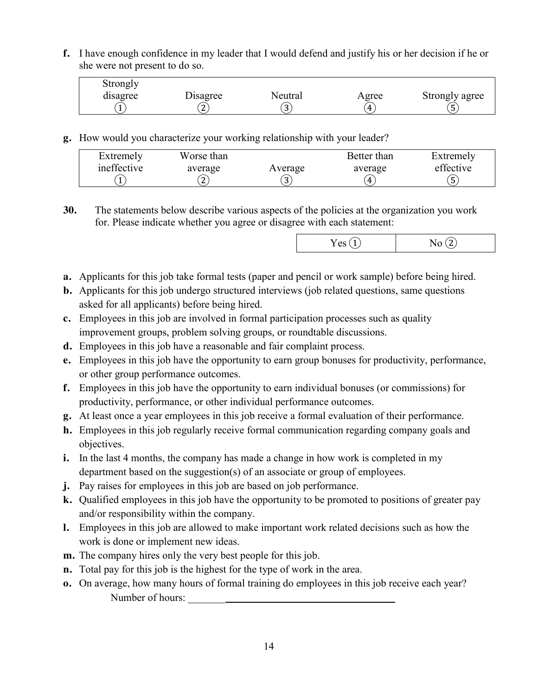**f.** I have enough confidence in my leader that I would defend and justify his or her decision if he or she were not present to do so.

| Strongly |          |         |       |                |
|----------|----------|---------|-------|----------------|
| disagree | Disagree | Neutral | Agree | Strongly agree |
|          | ▵        | ر       | 4     | ر              |

**g.** How would you characterize your working relationship with your leader?

| Extremely   | Worse than |         | Better than | Extremely |
|-------------|------------|---------|-------------|-----------|
| ineffective | average    | Average | average     | effective |
|             | ◠<br>∼     | ັ       | 4           | 5         |

**30.** The statements below describe various aspects of the policies at the organization you work for. Please indicate whether you agree or disagree with each statement:

|--|--|--|

- **a.** Applicants for this job take formal tests (paper and pencil or work sample) before being hired.
- **b.** Applicants for this job undergo structured interviews (job related questions, same questions asked for all applicants) before being hired.
- **c.** Employees in this job are involved in formal participation processes such as quality improvement groups, problem solving groups, or roundtable discussions.
- **d.** Employees in this job have a reasonable and fair complaint process.
- **e.** Employees in this job have the opportunity to earn group bonuses for productivity, performance, or other group performance outcomes.
- **f.** Employees in this job have the opportunity to earn individual bonuses (or commissions) for productivity, performance, or other individual performance outcomes.
- **g.** At least once a year employees in this job receive a formal evaluation of their performance.
- **h.** Employees in this job regularly receive formal communication regarding company goals and objectives.
- **i.** In the last 4 months, the company has made a change in how work is completed in my department based on the suggestion(s) of an associate or group of employees.
- **j.** Pay raises for employees in this job are based on job performance.
- **k.** Qualified employees in this job have the opportunity to be promoted to positions of greater pay and/or responsibility within the company.
- **l.** Employees in this job are allowed to make important work related decisions such as how the work is done or implement new ideas.
- **m.** The company hires only the very best people for this job.
- **n.** Total pay for this job is the highest for the type of work in the area.
- **o.** On average, how many hours of formal training do employees in this job receive each year? Number of hours: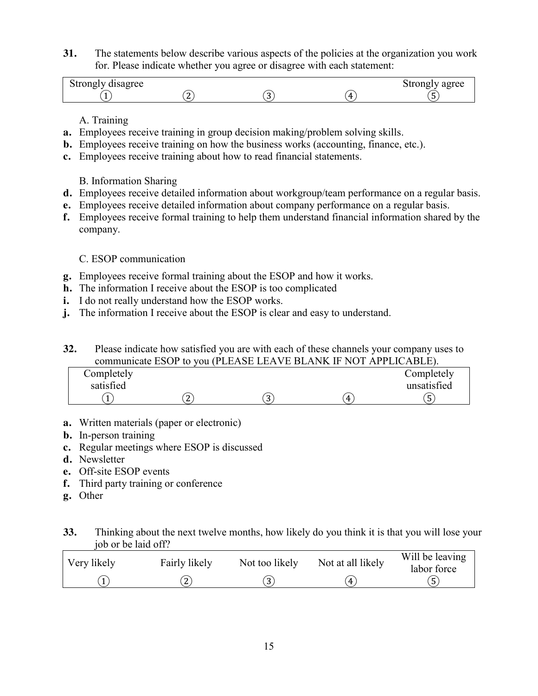**31.** The statements below describe various aspects of the policies at the organization you work for. Please indicate whether you agree or disagree with each statement:

| $\sim$ $\sim$<br>Strongly disagree |  |              | Strongly agree |
|------------------------------------|--|--------------|----------------|
|                                    |  | $\mathbf{H}$ |                |

A. Training

- **a.** Employees receive training in group decision making/problem solving skills.
- **b.** Employees receive training on how the business works (accounting, finance, etc.).
- **c.** Employees receive training about how to read financial statements.

B. Information Sharing

- **d.** Employees receive detailed information about workgroup/team performance on a regular basis.
- **e.** Employees receive detailed information about company performance on a regular basis.
- **f.** Employees receive formal training to help them understand financial information shared by the company.

C. ESOP communication

- **g.** Employees receive formal training about the ESOP and how it works.
- **h.** The information I receive about the ESOP is too complicated
- **i.** I do not really understand how the ESOP works.
- **j.** The information I receive about the ESOP is clear and easy to understand.

**32.** Please indicate how satisfied you are with each of these channels your company uses to communicate ESOP to you (PLEASE LEAVE BLANK IF NOT APPLICABLE).

| Completely<br>satisfied |                         |        |   | Completely<br>unsatisfied |
|-------------------------|-------------------------|--------|---|---------------------------|
|                         | $\mathbf{\hat{a}}$<br>∼ | ∽<br>ີ | 4 | ა                         |

- **a.** Written materials (paper or electronic)
- **b.** In-person training
- **c.** Regular meetings where ESOP is discussed
- **d.** Newsletter
- **e.** Off-site ESOP events
- **f.** Third party training or conference
- **g.** Other

### **33.** Thinking about the next twelve months, how likely do you think it is that you will lose your job or be laid off?

| Very likely | Fairly likely | Not too likely | Not at all likely | Will be leaving<br>labor force |
|-------------|---------------|----------------|-------------------|--------------------------------|
|             | n<br>▵        | ັ              | 4                 |                                |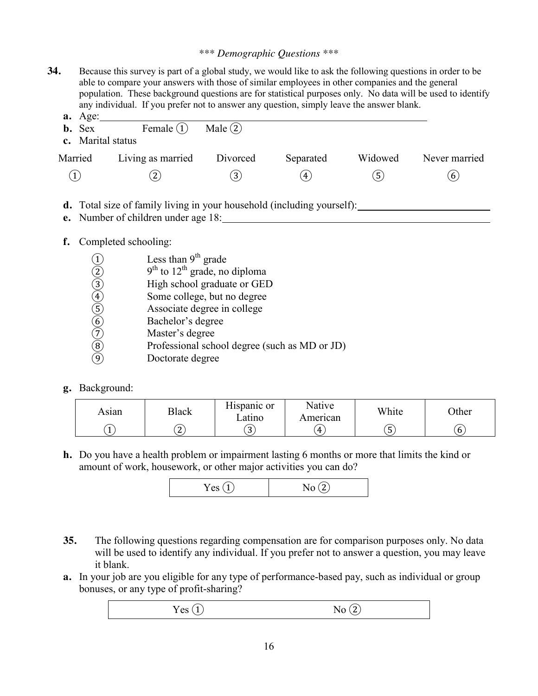#### *\*\*\* Demographic Questions \*\*\**

**34.** Because this survey is part of a global study, we would like to ask the following questions in order to be able to compare your answers with those of similar employees in other companies and the general population. These background questions are for statistical purposes only. No data will be used to identify any individual. If you prefer not to answer any question, simply leave the answer blank.

| $a. \text{Age}$<br><b>b.</b> Sex | Female $(1)$      | Male $(2)$       |           |         |               |
|----------------------------------|-------------------|------------------|-----------|---------|---------------|
| c. Marital status                |                   |                  |           |         |               |
| Married                          | Living as married | Divorced         | Separated | Widowed | Never married |
| (1)                              | $\mathbf{2)}$     | $\left(3\right)$ | (4)       | (5)     | (6)           |

- **d.** Total size of family living in your household (including yourself):
- **e.** Number of children under age 18:

#### **f.** Completed schooling:

- 
- 9<sup>th</sup> to 12<sup>th</sup> grade, no diploma
- High school graduate or GED
- Some college, but no degree
- Associate degree in college
- Bachelor's degree
- Master's degree
- (1) Less than 9<sup>th</sup> grade<br>
(2) 9<sup>th</sup> to 12<sup>th</sup> grade, no<br>
(3) High school gradua<br>
Some college, but r<br>
(5) Associate degree in<br>
(6) Bachelor's degree<br>
(7) Master's degree<br>
(9) Professional school<br>
(9) Doctorate degree ⑧ Professional school degree (such as MD or JD)
- ⑨ Doctorate degree

#### **g.** Background:

| Asıan | Black  | T T *<br>$\bullet$<br>Hispanic or<br>∟atıno | Native<br>American | White             | <b>Other</b> |
|-------|--------|---------------------------------------------|--------------------|-------------------|--------------|
|       | ำ<br>▵ | $\sim$<br><u>ل </u>                         | Δ.                 | -<br><sub>5</sub> | O            |

**h.** Do you have a health problem or impairment lasting 6 months or more that limits the kind or amount of work, housework, or other major activities you can do?

|--|

- **35.** The following questions regarding compensation are for comparison purposes only. No data will be used to identify any individual. If you prefer not to answer a question, you may leave it blank.
- **a.** In your job are you eligible for any type of performance-based pay, such as individual or group bonuses, or any type of profit-sharing?

$$
Yes \text{ } (1) \qquad \qquad No \text{ } (2)
$$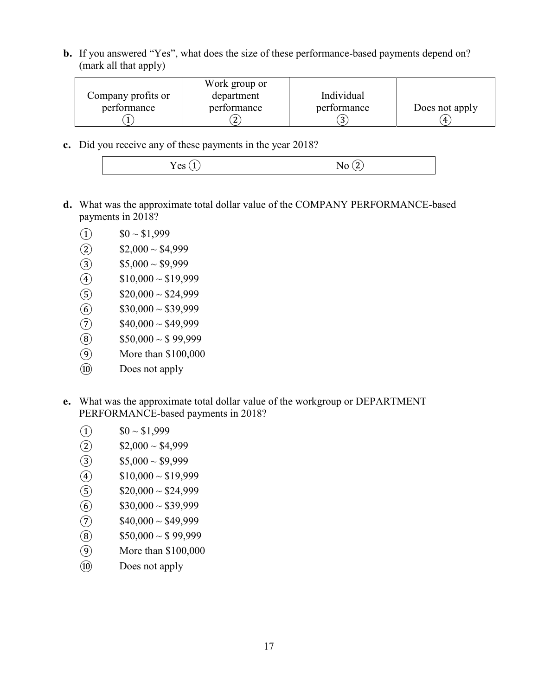**b.** If you answered "Yes", what does the size of these performance-based payments depend on? (mark all that apply)

|                    | Work group or |             |                |
|--------------------|---------------|-------------|----------------|
| Company profits or | department    | Individual  |                |
| performance        | performance   | performance | Does not apply |
|                    | n.            |             |                |

**c.** Did you receive any of these payments in the year 2018?

- **d.** What was the approximate total dollar value of the COMPANY PERFORMANCE-based payments in 2018?
	-
	- (1)  $$0 \sim $1,999$ <br>(2)  $$2,000 \sim $4,$
	- (2)  $$2,000 \sim $4,999$ <br>(3)  $$5,000 \sim $9,999$  $$5,000 \sim $9,999$
	-
	- $$20,000 \sim $24,999$
	- $$30,000 \sim $39,999$
	- (4)  $$10,000 \sim $19,999$ <br>
	(5)  $$20,000 \sim $24,999$ <br>
	(6)  $$30,000 \sim $39,999$ <br>
	(7)  $$40,000 \sim $49,999$  $$40,000 \sim $49,999$
	- $\circledS$  \$50,000 ~ \$99,999
	- ⑨ More than \$100,000
	- ⑩ Does not apply
- **e.** What was the approximate total dollar value of the workgroup or DEPARTMENT PERFORMANCE-based payments in 2018?
	- $\bigcirc$  \$0 ~ \$1,999
	- $(2)$  \$2,000 ~ \$4,999
	-
	- $$10,000 \sim $19,999$
	- (3)  $$5,000 \sim $9,999$ <br>(4)  $$10,000 \sim $19,99$ <br>(5)  $$20,000 \sim $24,99$  $$20,000 \sim $24,999$
	-
	- (6)  $$30,000 \sim $39,999$ <br>(7)  $$40,000 \sim $49,999$
	- (7)  $$40,000 \sim $49,999$ <br>(8)  $$50,000 \sim $99,999$  $$50,000 \sim $99,999$
	- ⑨ More than \$100,000
	- ⑩ Does not apply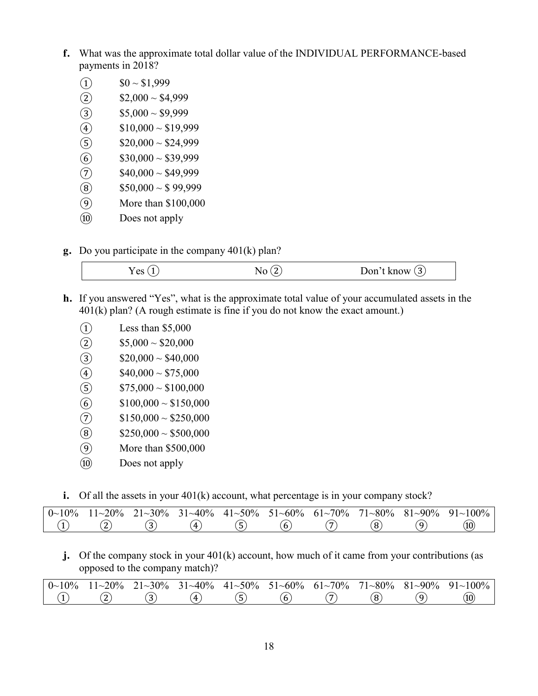- **f.** What was the approximate total dollar value of the INDIVIDUAL PERFORMANCE-based payments in 2018?
	- $(1)$  \$0 ~ \$1,999
	-
	- $$5,000 \sim $9,999$
	- $$10,000 \sim $19,999$
	- (2)  $$2,000 \sim $4,999$ <br>
	(3)  $$5,000 \sim $9,999$ <br>
	(4)  $$10,000 \sim $19,99$ <br>
	(5)  $$20,000 \sim $24,99$
	- (5)  $$20,000 \sim $24,999$ <br>(6)  $$30,000 \sim $39,999$
	- (6)  $$30,000 \sim $39,999$ <br>
	(7)  $$40,000 \sim $49,999$ <br>
	(8)  $$50,000 \sim $99,999$  $$40,000 \sim $49,999$
	- $$50,000 \sim $99,999$
	- ⑨ More than \$100,000
	- ⑩ Does not apply
- **g.** Do you participate in the company 401(k) plan?

| $\alpha$<br>- |  |
|---------------|--|
|               |  |

- **h.** If you answered "Yes", what is the approximate total value of your accumulated assets in the 401(k) plan? (A rough estimate is fine if you do not know the exact amount.)
	- $\Omega$  Less than \$5,000
	- $(2)$  \$5,000 ~ \$20,000
	- (3)  $$20,000 \sim $40,000$ <br>(4)  $$40,000 \sim $75,000$
	-
	- (4)  $$40,000 \sim $75,000$ <br>
	(5)  $$75,000 \sim $100,000$ (5)  $$75,000 \sim $100,000$ <br>
	(6)  $$100,000 \sim $150,000$ <br>
	(7)  $$150,000 \sim $250,000$
	- $$100,000 \sim $150,000$
	- $$150,000 \sim $250,000$
	- (8)  $$250,000 \sim $500,000$
	- ⑨ More than \$500,000
	- ⑩ Does not apply
- **i.** Of all the assets in your 401(k) account, what percentage is in your company stock?

|  |  |  |  | $0 \sim 10\%$ $11 \sim 20\%$ $21 \sim 30\%$ $31 \sim 40\%$ $41 \sim 50\%$ $51 \sim 60\%$ $61 \sim 70\%$ $71 \sim 80\%$ $81 \sim 90\%$ $91 \sim 100\%$ |
|--|--|--|--|-------------------------------------------------------------------------------------------------------------------------------------------------------|
|  |  |  |  | (10)                                                                                                                                                  |

**j.** Of the company stock in your 401(k) account, how much of it came from your contributions (as opposed to the company match)?

| $0 \sim 10\%$ | $11 - 20\%$ | $21 - 30\%$ | $31 - 40\%$ | $41 \sim 50\%$ 51 $\sim 60\%$ |   | $61 - 70\%$ | $71 - 80\%$ | $81 - 90\%$ | $91~100\%$ |
|---------------|-------------|-------------|-------------|-------------------------------|---|-------------|-------------|-------------|------------|
|               |             |             |             | ັ                             | O |             |             |             | (10        |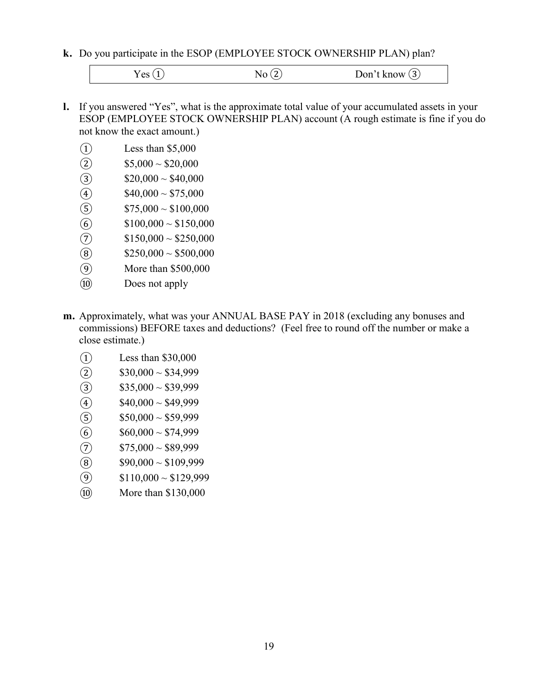**k.** Do you participate in the ESOP (EMPLOYEE STOCK OWNERSHIP PLAN) plan?

 $Yes (1)$   $No (2)$   $Don't know (3)$ 

- **l.** If you answered "Yes", what is the approximate total value of your accumulated assets in your ESOP (EMPLOYEE STOCK OWNERSHIP PLAN) account (A rough estimate is fine if you do not know the exact amount.)
	- ① Less than \$5,000
	-
	- (2)  $$5,000 \sim $20,000$ <br>(3)  $$20,000 \sim $40,000$
	- $$40,000 \sim $75,000$
	- (3)  $$20,000 \sim $40,000$ <br>
	(4)  $$40,000 \sim $75,000$ <br>
	(5)  $$75,000 \sim $100,000$  $$75,000 \sim $100,000$
	- (6)  $$100,000 \sim $150,000$ <br>(7)  $$150,000 \sim $250,000$
	- $$150,000 \sim $250,000$
	- $\overline{\textcircled{8}}$  \$250,000 ~ \$500,000
	- ⑨ More than \$500,000
	- ⑩ Does not apply
- **m.** Approximately, what was your ANNUAL BASE PAY in 2018 (excluding any bonuses and commissions) BEFORE taxes and deductions? (Feel free to round off the number or make a close estimate.)
	- ① Less than \$30,000
	-
	- (2)  $$30,000 \sim $34,999$ <br>(3)  $$35,000 \sim $39,999$
	- $$40,000 \sim $49,999$
	- (3)  $$35,000 \sim $39,999$ <br>(4)  $$40,000 \sim $49,999$ <br>(5)  $$50,000 \sim $59,999$
	- (5)  $$50,000 \sim $59,999$ <br>
	(6)  $$60,000 \sim $74,999$ <br>
	(7)  $$75,000 \sim $89,999$  $$60,000 \sim $74,999$
	-
	- $\begin{array}{ll}\n\textcircled{7} & \text{$575,000 \sim $89,999} \\
	\textcircled{8} & \text{$90,000 \sim $109,999}\n\end{array}$  $$90,000 \sim $109,999$
	- $\textcircled{9}$  \$110,000 ~ \$129,999
	- ⑩ More than \$130,000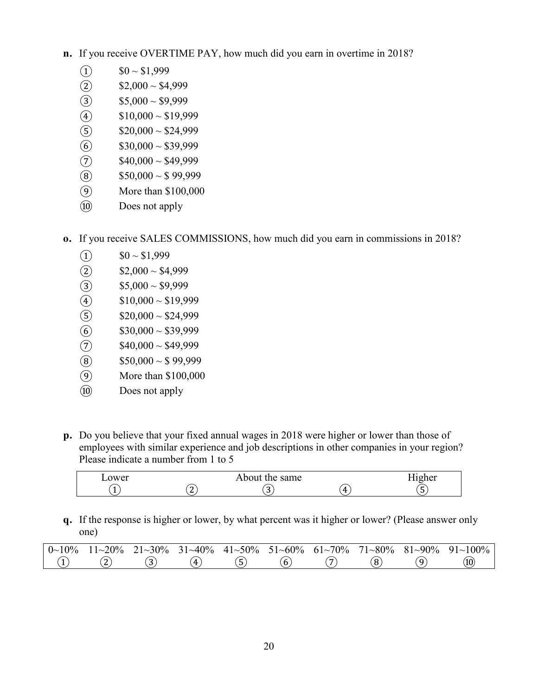- **n.** If you receive OVERTIME PAY, how much did you earn in overtime in 2018?
	- $\bigcirc$  \$0 ~ \$1,999
	- $(2)$  \$2,000 ~ \$4,999
	- (a)  $$5,000 \sim $9,999$ <br>
	(4)  $$10,000 \sim $19,99$ <br>
	(5)  $$20,000 \sim $24,99$ <br>
	(6)  $$30,000 \sim $39,99$ <br>
	(7)  $$40,000 \sim $49,99$ <br>
	(8)  $$50,000 \sim $99,9$
	- $$10,000 \sim $19,999$
	- $$20,000 \sim $24,999$
	- $$30,000 \sim $39,999$
	- $$40,000 \sim $49,999$
	- $$50,000 \sim $99,999$
	- ⑨ More than \$100,000
	- ⑩ Does not apply
- **o.** If you receive SALES COMMISSIONS, how much did you earn in commissions in 2018?
	- $(1)$  \$0 ~ \$1,999
	-
	- $$5,000 \sim $9,999$
	- $$10,000 \sim $19,999$
	- $$20,000 \sim $24,999$
	- (2)  $$2,000 \sim $4,999$ <br>
	(3)  $$5,000 \sim $9,999$ <br>
	(4)  $$10,000 \sim $19,99$ <br>
	(5)  $$20,000 \sim $24,99$ <br>
	(6)  $$30,000 \sim $39,99$ <br>
	(7)  $$40,000 \sim $49,99$ <br>
	(8)  $$50,000 \sim $99,9$  $$30,000 \sim $39,999$
	- $$40,000 \sim $49,999$
	- $$50,000 \sim $99,999$
	- ⑨ More than \$100,000
	- ⑩ Does not apply
- **p.** Do you believe that your fixed annual wages in 2018 were higher or lower than those of employees with similar experience and job descriptions in other companies in your region? Please indicate a number from 1 to 5

| ower |   | About the same |   | ---<br>12her |
|------|---|----------------|---|--------------|
|      | - |                | Д |              |

**q.** If the response is higher or lower, by what percent was it higher or lower? (Please answer only one)

| $0\sim 10\%$ | $11 \sim 20\%$ 21 $\sim 30\%$ |    |   |   |  | $31~40\%$ $41~50\%$ $51~60\%$ $61~70\%$ $71~80\%$ $81~90\%$ $91~100\%$ |
|--------------|-------------------------------|----|---|---|--|------------------------------------------------------------------------|
|              |                               | Δ. | ີ | O |  | (10                                                                    |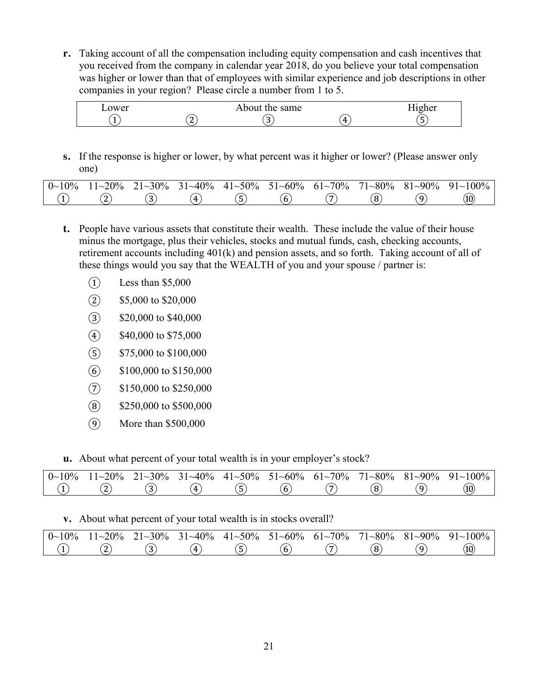**r.** Taking account of all the compensation including equity compensation and cash incentives that you received from the company in calendar year 2018, do you believe your total compensation was higher or lower than that of employees with similar experience and job descriptions in other companies in your region? Please circle a number from 1 to 5.

| ower |             | the same<br>About |   | 1gher |
|------|-------------|-------------------|---|-------|
|      | $\sim$<br>- | ັ                 | 4 | ັ     |

**s.** If the response is higher or lower, by what percent was it higher or lower? (Please answer only one)

| $0 \sim 10\%$ | $11 - 20%$ | $21 \sim 30\%$ | $31 - 40\%$ | $41 \sim 50\%$ 51 $\sim 60\%$ |   | $61 - 70\%$ | $71 - 80\%$ | $81 - 90\%$ | $91~100\%$ |
|---------------|------------|----------------|-------------|-------------------------------|---|-------------|-------------|-------------|------------|
|               |            | . .            | Δ.          | ٠                             | O |             | $\Omega$    |             | (10        |

- **t.** People have various assets that constitute their wealth. These include the value of their house minus the mortgage, plus their vehicles, stocks and mutual funds, cash, checking accounts, retirement accounts including 401(k) and pension assets, and so forth. Taking account of all of these things would you say that the WEALTH of you and your spouse / partner is:
	- $\Omega$  Less than \$5,000
	- ② \$5,000 to \$20,000
	- ③ \$20,000 to \$40,000
	- ④ \$40,000 to \$75,000
	- ⑤ \$75,000 to \$100,000
	- ⑥ \$100,000 to \$150,000
	- ⑦ \$150,000 to \$250,000
	- ⑧ \$250,000 to \$500,000
	- ⑨ More than \$500,000
- **u.** About what percent of your total wealth is in your employer's stock?

| $0\sim 10\%$ | $1 - 20%$ | $21 - 30\%$ | $31 - 40\%$ | $41 \sim 50\%$ 51 $\sim 60\%$ | $61 - 70\%$ | $71 - 80\%$ | $81 - 90\%$ | $91~100\%$ |
|--------------|-----------|-------------|-------------|-------------------------------|-------------|-------------|-------------|------------|
|              | ∼         |             | 4           | o                             | -           |             |             | (10        |

#### **v.** About what percent of your total wealth is in stocks overall?

| $0\sim 10\%$ | $11 - 20\%$ | $21 - 30\%$ | $31 - 40\%$ | $41 \sim 50\%$ 51 $\sim 60\%$ 61 $\sim 70\%$ |   |          | $71 \sim 80\%$ 81 $\sim 90\%$ | $91~100\%$ |
|--------------|-------------|-------------|-------------|----------------------------------------------|---|----------|-------------------------------|------------|
|              |             |             | Δ.          | ີ                                            | O | $\Omega$ |                               | (10        |